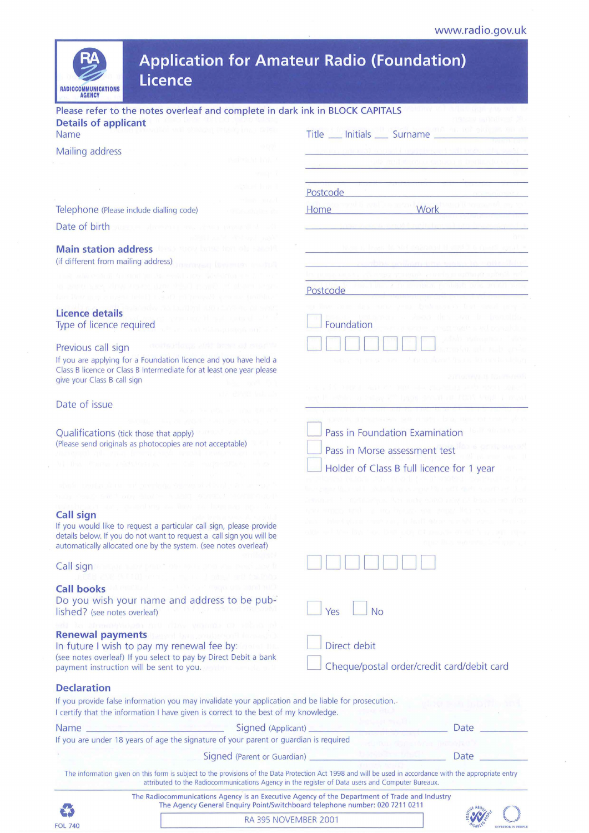**CONSTRUCTION** 

| <b>Application for Amateur Radio (Foundation)</b><br><b>Licence</b><br><b>RADIOCOMMUNICATIONS</b><br><b>AGENCY</b>                                                                                                                 |                                                                                                                           |
|------------------------------------------------------------------------------------------------------------------------------------------------------------------------------------------------------------------------------------|---------------------------------------------------------------------------------------------------------------------------|
| Please refer to the notes overleaf and complete in dark ink in BLOCK CAPITALS                                                                                                                                                      |                                                                                                                           |
| <b>Details of applicant</b><br>Name                                                                                                                                                                                                | Title __ Initials __ Surname                                                                                              |
| <b>Mailing address</b>                                                                                                                                                                                                             |                                                                                                                           |
|                                                                                                                                                                                                                                    |                                                                                                                           |
|                                                                                                                                                                                                                                    |                                                                                                                           |
|                                                                                                                                                                                                                                    | Postcode                                                                                                                  |
| Telephone (Please include dialling code)                                                                                                                                                                                           | Work<br>Home                                                                                                              |
| Date of birth                                                                                                                                                                                                                      |                                                                                                                           |
| <b>Main station address</b>                                                                                                                                                                                                        |                                                                                                                           |
| (if different from mailing address)                                                                                                                                                                                                |                                                                                                                           |
|                                                                                                                                                                                                                                    |                                                                                                                           |
|                                                                                                                                                                                                                                    | Postcode                                                                                                                  |
| <b>Licence details</b>                                                                                                                                                                                                             |                                                                                                                           |
| Type of licence required                                                                                                                                                                                                           | Foundation                                                                                                                |
| Previous call sign<br>GORIANIOUS AIN' DAVIOUS BIGETY                                                                                                                                                                               |                                                                                                                           |
| If you are applying for a Foundation licence and you have held a<br>Class B licence or Class B Intermediate for at least one year please<br>give your Class B call sign                                                            |                                                                                                                           |
| Date of issue                                                                                                                                                                                                                      |                                                                                                                           |
|                                                                                                                                                                                                                                    | Pass in Foundation Examination                                                                                            |
| Qualifications (tick those that apply)<br>(Please send originals as photocopies are not acceptable)                                                                                                                                |                                                                                                                           |
|                                                                                                                                                                                                                                    | Pass in Morse assessment test                                                                                             |
|                                                                                                                                                                                                                                    | Holder of Class B full licence for 1 year                                                                                 |
|                                                                                                                                                                                                                                    |                                                                                                                           |
|                                                                                                                                                                                                                                    |                                                                                                                           |
| <b>Call sign</b><br>If you would like to request a particular call sign, please provide<br>details below. If you do not want to request a call sign you will be<br>automatically allocated one by the system. (see notes overleaf) | dard also a coarte as sile fastili gia se ne relli serre. I intervenz<br>and Also Date Line, Both with Claims the initial |
| Call sign to the new property will be a property and the t<br>EffOlker: .- . Indulation back                                                                                                                                       |                                                                                                                           |
| Call books Members and the company will have                                                                                                                                                                                       |                                                                                                                           |
| Do you wish your name and address to be pub-<br>lished? (see notes overleaf)                                                                                                                                                       | Yes<br><b>No</b>                                                                                                          |
| di la Jeonekozo si jik vono o veho el<br>Renewal payments and background through                                                                                                                                                   |                                                                                                                           |
| In future I wish to pay my renewal fee by:                                                                                                                                                                                         | Direct debit                                                                                                              |
| (see notes overleaf) If you select to pay by Direct Debit a bank<br>payment instruction will be sent to you.                                                                                                                       | Cheque/postal order/credit card/debit card                                                                                |
| <b>Declaration</b>                                                                                                                                                                                                                 |                                                                                                                           |
| If you provide false information you may invalidate your application and be liable for prosecution.<br>I certify that the information I have given is correct to the best of my knowledge.                                         |                                                                                                                           |
| Name <b>Manual Company of the Company of the Company</b><br>Signed (Applicant) __________                                                                                                                                          | Date _                                                                                                                    |
| If you are under 18 years of age the signature of your parent or guardian is required                                                                                                                                              |                                                                                                                           |
|                                                                                                                                                                                                                                    | Date                                                                                                                      |

The information given on this form is subject to the provisions of the Data Protection Act 1998 and will be used in accordance with the appropriate entry attributed to the Radiocommunications Agency in the register of Data users and Computer Bureaux.



RA 395 NOVEMBER 2001

FOL 740

Ŵ